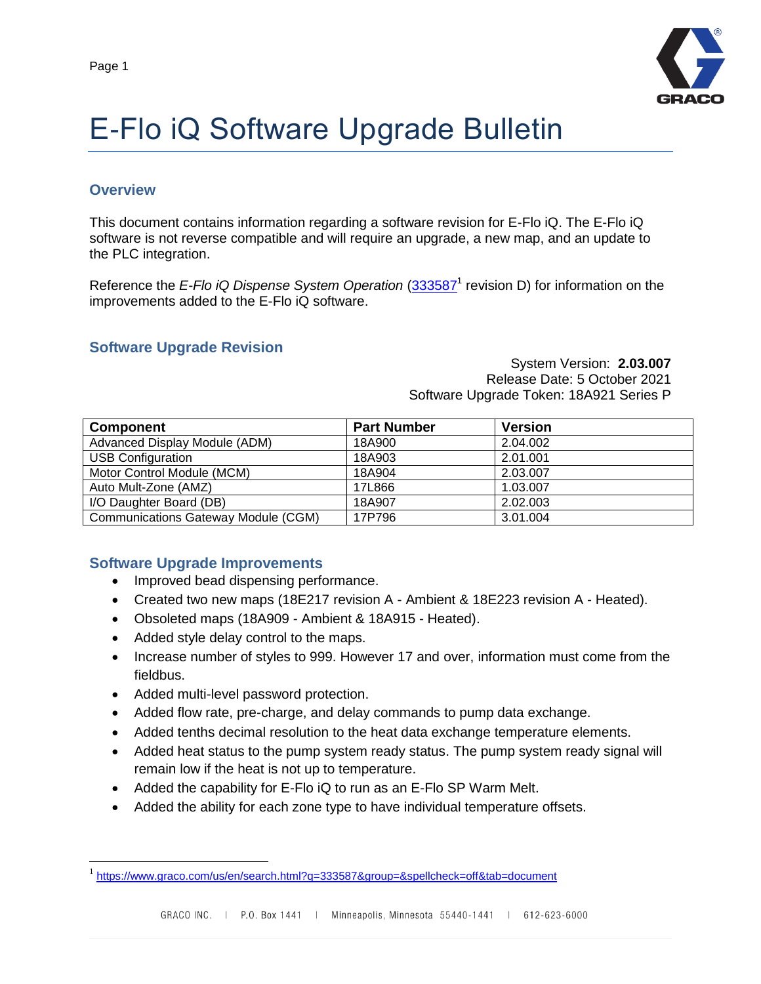

# E-Flo iQ Software Upgrade Bulletin

#### **Overview**

 $\overline{a}$ 

This document contains information regarding a software revision for E-Flo iQ. The E-Flo iQ software is not reverse compatible and will require an upgrade, a new map, and an update to the PLC integration.

Reference the *E-Flo iQ Dispense System Operation* [\(333587](https://www.graco.com/us/en/search.html?q=333587&group=&spellcheck=off&tab=document)<sup>1</sup> revision D) for information on the improvements added to the E-Flo iQ software.

#### **Software Upgrade Revision**

System Version: **2.03.007** Release Date: 5 October 2021 Software Upgrade Token: 18A921 Series P

| <b>Component</b>                    | <b>Part Number</b> | <b>Version</b> |
|-------------------------------------|--------------------|----------------|
| Advanced Display Module (ADM)       | 18A900             | 2.04.002       |
| <b>USB Configuration</b>            | 18A903             | 2.01.001       |
| Motor Control Module (MCM)          | 18A904             | 2.03.007       |
| Auto Mult-Zone (AMZ)                | 17L866             | 1.03.007       |
| I/O Daughter Board (DB)             | 18A907             | 2.02.003       |
| Communications Gateway Module (CGM) | 17P796             | 3.01.004       |

#### **Software Upgrade Improvements**

- Improved bead dispensing performance.
- Created two new maps (18E217 revision A Ambient & 18E223 revision A Heated).
- Obsoleted maps (18A909 Ambient & 18A915 Heated).
- Added style delay control to the maps.
- Increase number of styles to 999. However 17 and over, information must come from the fieldbus.
- Added multi-level password protection.
- Added flow rate, pre-charge, and delay commands to pump data exchange.
- Added tenths decimal resolution to the heat data exchange temperature elements.
- Added heat status to the pump system ready status. The pump system ready signal will remain low if the heat is not up to temperature.
- Added the capability for E-Flo iQ to run as an E-Flo SP Warm Melt.
- Added the ability for each zone type to have individual temperature offsets.

<sup>&</sup>lt;sup>1</sup> <https://www.graco.com/us/en/search.html?q=333587&group=&spellcheck=off&tab=document>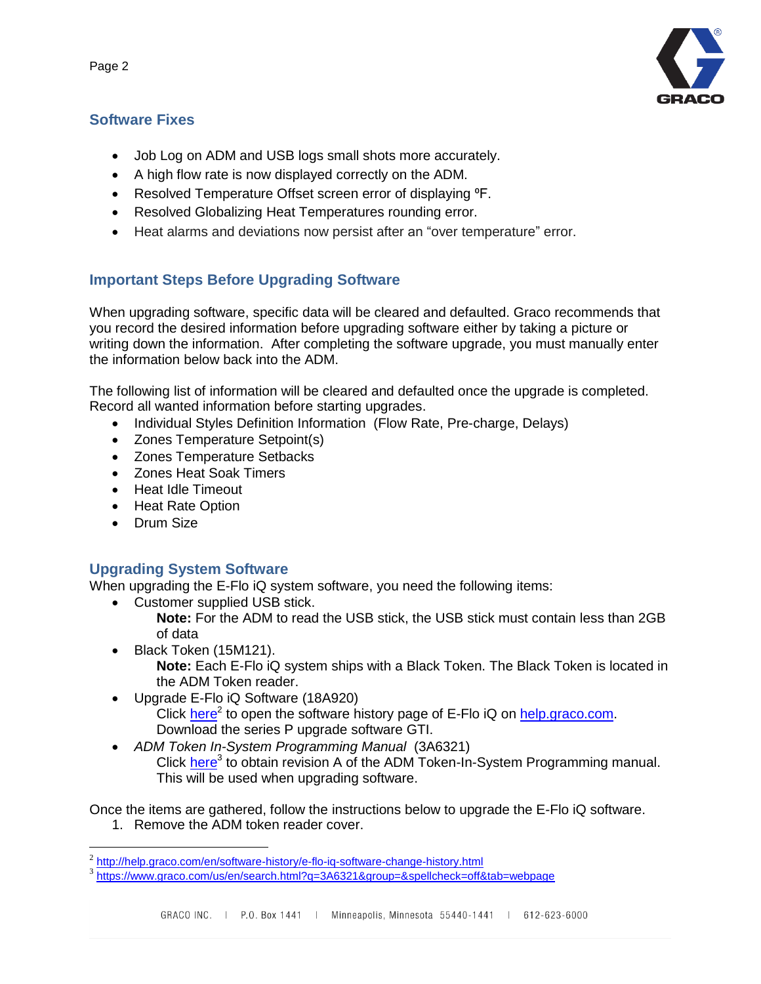#### **Software Fixes**

- Job Log on ADM and USB logs small shots more accurately.
- A high flow rate is now displayed correctly on the ADM.
- Resolved Temperature Offset screen error of displaying <sup>o</sup>F.
- Resolved Globalizing Heat Temperatures rounding error.
- Heat alarms and deviations now persist after an "over temperature" error.

## **Important Steps Before Upgrading Software**

When upgrading software, specific data will be cleared and defaulted. Graco recommends that you record the desired information before upgrading software either by taking a picture or writing down the information. After completing the software upgrade, you must manually enter the information below back into the ADM.

The following list of information will be cleared and defaulted once the upgrade is completed. Record all wanted information before starting upgrades.

- Individual Styles Definition Information (Flow Rate, Pre-charge, Delays)
- Zones Temperature Setpoint(s)
- Zones Temperature Setbacks
- Zones Heat Soak Timers
- Heat Idle Timeout
- Heat Rate Option
- **Drum Size**

#### **Upgrading System Software**

When upgrading the E-Flo iQ system software, you need the following items:

- Customer supplied USB stick.
	- **Note:** For the ADM to read the USB stick, the USB stick must contain less than 2GB of data
- Black Token (15M121). **Note:** Each E-Flo iQ system ships with a Black Token. The Black Token is located in the ADM Token reader.
- Upgrade E-Flo iQ Software (18A920)
	- Click [here](http://help.graco.com/en/software-history/e-flo-iq-software-change-history.html)<sup>2</sup> to open the software history page of E-Flo iQ on [help.graco.com.](help.graco.com) Download the series P upgrade software GTI.
- *ADM Token In-System Programming Manual* (3A6321) Click [here](https://www.graco.com/us/en/search.html?q=3A6321&group=&spellcheck=off&tab=webpage)<sup>3</sup> to obtain revision A of the ADM Token-In-System Programming manual. This will be used when upgrading software.

Once the items are gathered, follow the instructions below to upgrade the E-Flo iQ software.

1. Remove the ADM token reader cover.



 2 <http://help.graco.com/en/software-history/e-flo-iq-software-change-history.html>

<sup>&</sup>lt;sup>3</sup><https://www.graco.com/us/en/search.html?q=3A6321&group=&spellcheck=off&tab=webpage>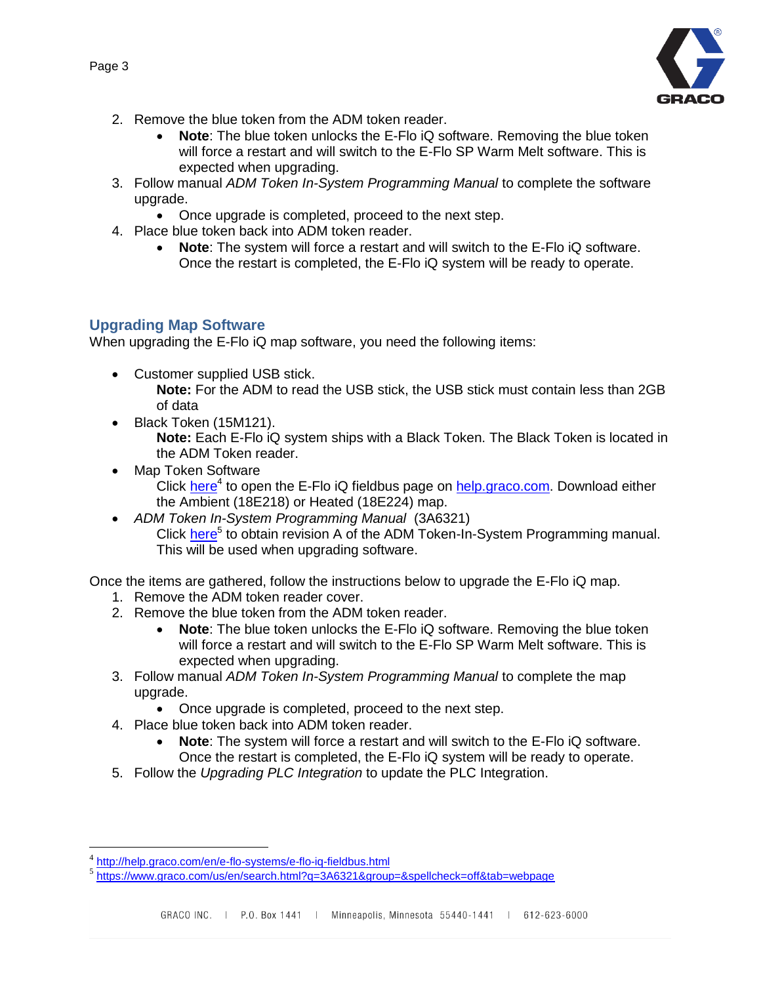

- 2. Remove the blue token from the ADM token reader.
	- **Note**: The blue token unlocks the E-Flo iQ software. Removing the blue token will force a restart and will switch to the E-Flo SP Warm Melt software. This is expected when upgrading.
- 3. Follow manual *ADM Token In-System Programming Manual* to complete the software upgrade.
	- Once upgrade is completed, proceed to the next step.
- 4. Place blue token back into ADM token reader.
	- **Note**: The system will force a restart and will switch to the E-Flo iQ software. Once the restart is completed, the E-Flo iQ system will be ready to operate.

#### **Upgrading Map Software**

When upgrading the E-Flo iQ map software, you need the following items:

- Customer supplied USB stick. **Note:** For the ADM to read the USB stick, the USB stick must contain less than 2GB of data
- Black Token (15M121).

**Note:** Each E-Flo iQ system ships with a Black Token. The Black Token is located in the ADM Token reader.

- Map Token Software Click [here](http://help.graco.com/en/e-flo-systems/e-flo-iq-fieldbus.html)<sup>4</sup> to open the E-Flo iQ fieldbus page on [help.graco.com.](help.graco.com) Download either the Ambient (18E218) or Heated (18E224) map.
- *ADM Token In-System Programming Manual* (3A6321) Click [here](https://www.graco.com/us/en/search.html?q=3A6321&group=&spellcheck=off&tab=webpage)<sup>5</sup> to obtain revision A of the ADM Token-In-System Programming manual. This will be used when upgrading software.

Once the items are gathered, follow the instructions below to upgrade the E-Flo iQ map.

- 1. Remove the ADM token reader cover.
- 2. Remove the blue token from the ADM token reader.
	- **Note**: The blue token unlocks the E-Flo iQ software. Removing the blue token will force a restart and will switch to the E-Flo SP Warm Melt software. This is expected when upgrading.
- 3. Follow manual *ADM Token In-System Programming Manual* to complete the map upgrade.
	- Once upgrade is completed, proceed to the next step.
- 4. Place blue token back into ADM token reader.
	- **Note**: The system will force a restart and will switch to the E-Flo iQ software. Once the restart is completed, the E-Flo iQ system will be ready to operate.
- 5. Follow the *[Upgrading PLC](#page-3-0) Integration* to update the PLC Integration.

 $\overline{a}$ 

<sup>&</sup>lt;sup>4</sup> <http://help.graco.com/en/e-flo-systems/e-flo-iq-fieldbus.html>

<sup>&</sup>lt;sup>5</sup><https://www.graco.com/us/en/search.html?q=3A6321&group=&spellcheck=off&tab=webpage>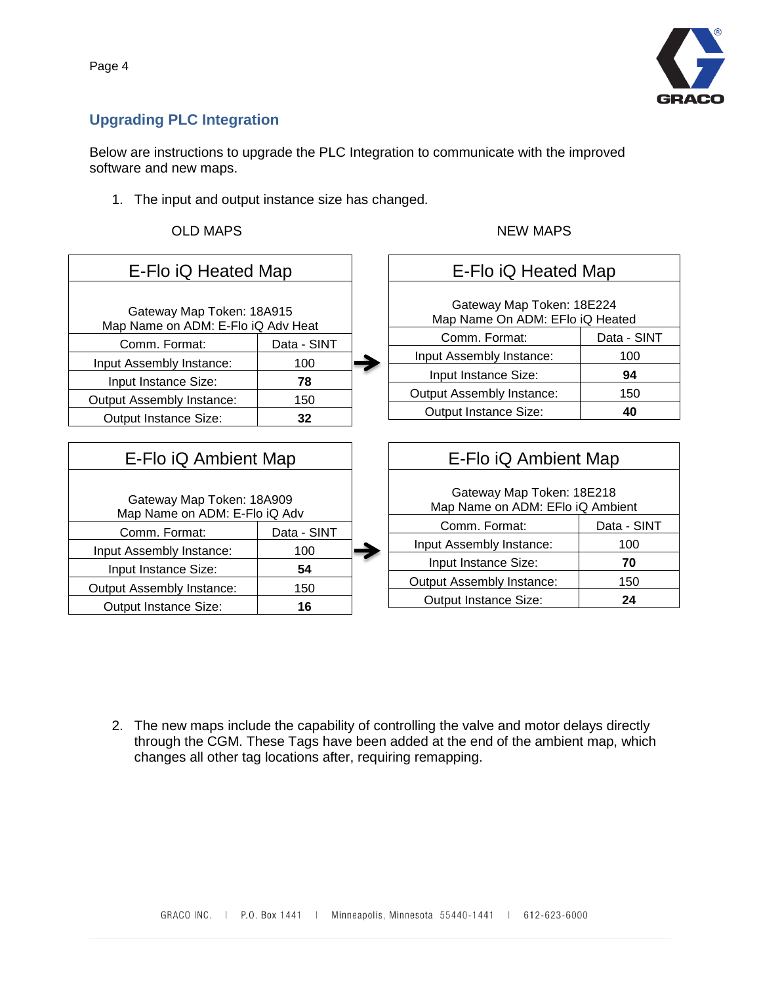#### Page 4

### <span id="page-3-0"></span>**Upgrading PLC Integration**

Below are instructions to upgrade the PLC Integration to communicate with the improved software and new maps.

1. The input and output instance size has changed.

| E-Flo iQ Heated Map                                             |             |  | E-Flo iQ Heated Map                                           |             |  |
|-----------------------------------------------------------------|-------------|--|---------------------------------------------------------------|-------------|--|
| Gateway Map Token: 18A915<br>Map Name on ADM: E-Flo iQ Adv Heat |             |  | Gateway Map Token: 18E224<br>Map Name On ADM: EFIo iQ Heated  |             |  |
| Comm. Format:                                                   | Data - SINT |  | Comm. Format:                                                 | Data - SINT |  |
| Input Assembly Instance:                                        | 100         |  | Input Assembly Instance:                                      | 100         |  |
| Input Instance Size:                                            | 78          |  | Input Instance Size:                                          | 94          |  |
| <b>Output Assembly Instance:</b>                                | 150         |  | <b>Output Assembly Instance:</b>                              | 150         |  |
| Output Instance Size:                                           | 32          |  | Output Instance Size:                                         | 40          |  |
|                                                                 |             |  |                                                               |             |  |
| E-Flo iQ Ambient Map                                            |             |  | E-Flo iQ Ambient Map                                          |             |  |
| Gateway Map Token: 18A909<br>Map Name on ADM: E-Flo iQ Adv      |             |  | Gateway Map Token: 18E218<br>Map Name on ADM: EFIo iQ Ambient |             |  |
| Comm. Format:                                                   | Data - SINT |  | Comm. Format:                                                 | Data - SINT |  |
| Input Assembly Instance:                                        | 100         |  | Input Assembly Instance:                                      | 100         |  |
| Input Instance Size:                                            | 54          |  | Input Instance Size:                                          | 70          |  |
| <b>Output Assembly Instance:</b>                                | 150         |  | <b>Output Assembly Instance:</b>                              | 150         |  |
| <b>Output Instance Size:</b>                                    | 16          |  | <b>Output Instance Size:</b>                                  | 24          |  |

2. The new maps include the capability of controlling the valve and motor delays directly through the CGM. These Tags have been added at the end of the ambient map, which changes all other tag locations after, requiring remapping.



#### OLD MAPS NEW MAPS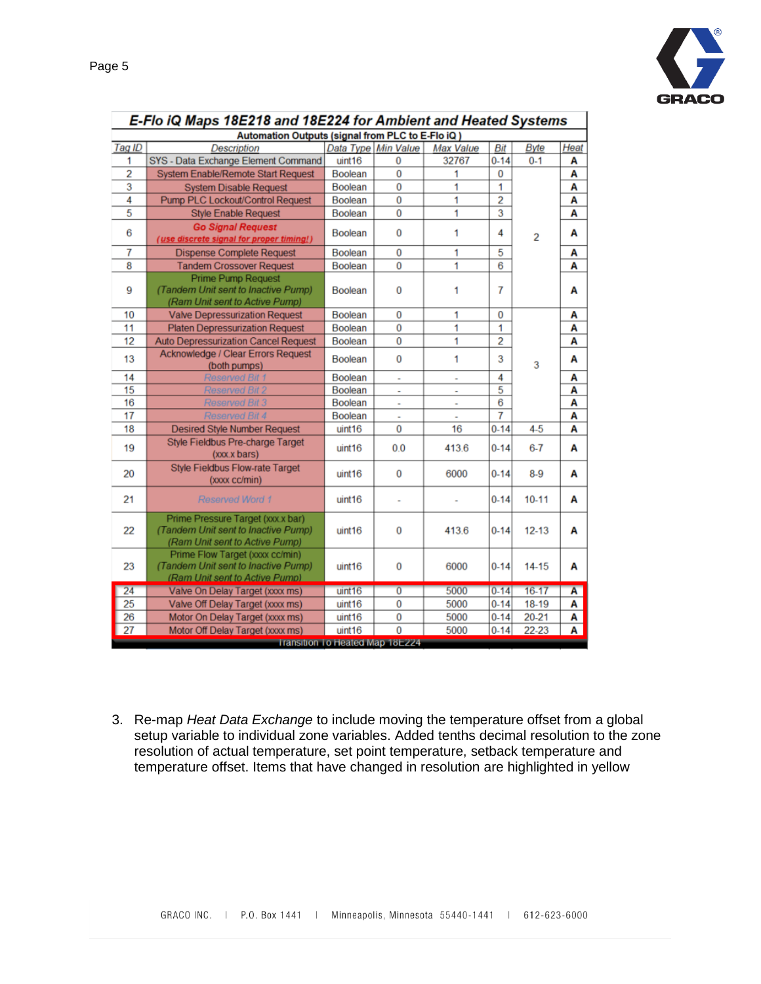

| E-Flo iQ Maps 18E218 and 18E224 for Ambient and Heated Systems |                                                                                                            |                                        |                     |           |                |                |                |  |
|----------------------------------------------------------------|------------------------------------------------------------------------------------------------------------|----------------------------------------|---------------------|-----------|----------------|----------------|----------------|--|
| Automation Outputs (signal from PLC to E-Flo iQ)               |                                                                                                            |                                        |                     |           |                |                |                |  |
| Tag ID                                                         | <b>Description</b>                                                                                         |                                        | Data Type Min Value | Max Value | Bit            | <b>Byte</b>    | Heat           |  |
| 1                                                              | SYS - Data Exchange Element Command                                                                        | uint16                                 | 0                   | 32767     | $0 - 14$       | $0 - 1$        | Α              |  |
| 2                                                              | <b>System Enable/Remote Start Request</b>                                                                  | <b>Boolean</b>                         | 0                   | 1         | 0              |                | Α              |  |
| 3                                                              | <b>System Disable Request</b>                                                                              | <b>Boolean</b>                         | 0                   | 1         | 1              |                | Α              |  |
| 4                                                              | <b>Pump PLC Lockout/Control Request</b>                                                                    | <b>Boolean</b>                         | 0                   | 1         | $\overline{2}$ |                | Α              |  |
| 5                                                              | <b>Style Enable Request</b>                                                                                | <b>Boolean</b>                         | 0                   | 1         | 3              |                | А              |  |
| 6                                                              | <b>Go Signal Request</b><br>(use discrete signal for proper timing!)                                       | <b>Boolean</b>                         | 0                   | 1         | 4              | $\overline{2}$ | Α              |  |
| 7                                                              | <b>Dispense Complete Request</b>                                                                           | <b>Boolean</b>                         | 0                   | 1         | 5              |                | Α              |  |
| 8                                                              | <b>Tandem Crossover Request</b>                                                                            | <b>Boolean</b>                         | $\bf{0}$            | 1         | 6              |                | A              |  |
| 9                                                              | <b>Prime Pump Request</b><br>(Tandem Unit sent to Inactive Pump)<br>(Ram Unit sent to Active Pump)         | <b>Boolean</b>                         | 0                   | 1         | 7              |                | Α              |  |
| 10                                                             | <b>Valve Depressurization Request</b>                                                                      | <b>Boolean</b>                         | 0                   | 1         | 0              |                | Α              |  |
| 11                                                             | <b>Platen Depressurization Request</b>                                                                     | <b>Boolean</b>                         | 0                   | 1         | 1              |                | A              |  |
| 12                                                             | <b>Auto Depressurization Cancel Request</b>                                                                | Boolean                                | 0                   | 1         | $\overline{2}$ |                | Α              |  |
| 13                                                             | Acknowledge / Clear Errors Request<br>(both pumps)                                                         | <b>Boolean</b>                         | 0                   | 1         | 3              | 3              | A              |  |
| 14                                                             | <b>Reserved Bit 1</b>                                                                                      | <b>Boolean</b>                         | ×,                  | ×,        | 4              |                | Α              |  |
| 15                                                             | <b>Reserved Bit 2</b>                                                                                      | <b>Boolean</b>                         | ÷                   |           | $\overline{5}$ |                | Α              |  |
| 16                                                             | <b>Reserved Bit 3</b>                                                                                      | <b>Boolean</b>                         | L.                  | ÷,        | 6              |                | Α              |  |
| 17                                                             | <b>Reserved Bit 4</b>                                                                                      | <b>Boolean</b>                         | à,                  | ×,        | 7              |                | Α              |  |
| 18                                                             | <b>Desired Style Number Request</b>                                                                        | uint16                                 | $\Omega$            | 16        | $0 - 14$       | $4 - 5$        | Α              |  |
| 19                                                             | Style Fieldbus Pre-charge Target<br>(xxx.x bars)                                                           | uint16                                 | 0.0                 | 413.6     | $0 - 14$       | $6 - 7$        | Α              |  |
| 20                                                             | <b>Style Fieldbus Flow-rate Target</b><br>(xxxx cc/min)                                                    | uint16                                 | 0                   | 6000      | $0 - 14$       | $8-9$          | Α              |  |
| 21                                                             | <b>Reserved Word 1</b>                                                                                     | uint16                                 |                     |           | $0 - 14$       | $10 - 11$      | Α              |  |
| 22                                                             | Prime Pressure Target (xxx.x bar)<br>(Tandem Unit sent to Inactive Pump)<br>(Ram Unit sent to Active Pump) | uint16                                 | 0                   | 413.6     | $0 - 14$       | $12 - 13$      | Α              |  |
| 23                                                             | Prime Flow Target (xxxx cc/min)<br>(Tandem Unit sent to Inactive Pump)<br>(Ram Unit sent to Active Pump)   | uint16                                 | 0                   | 6000      | $0 - 14$       | $14 - 15$      | Α              |  |
| 24                                                             | Valve On Delay Target (xxxx ms)                                                                            | uint16                                 | $\overline{0}$      | 5000      | $0 - 14$       | $16-17$        | $\overline{A}$ |  |
| 25                                                             | Valve Off Delay Target (xxxx ms)                                                                           | uint16                                 | 0                   | 5000      | $0 - 14$       | 18-19          | Α              |  |
| 26                                                             | Motor On Delay Target (xxxx ms)                                                                            | uint16                                 | 0                   | 5000      | $0 - 14$       | 20-21          | Α              |  |
| 27                                                             | Motor Off Delay Target (xxxx ms)                                                                           | uint16                                 | $\overline{0}$      | 5000      | $0 - 14$       | 22-23          | A              |  |
|                                                                |                                                                                                            | <b>Iransition To Heated Map 18E224</b> |                     |           |                |                |                |  |

| E-Flo iQ Maps 18E218 and 18E224 for Ambient and Heated Systems |
|----------------------------------------------------------------|
| Automation Outputs (signal from PLC to E-Flo iQ)               |

3. Re-map *Heat Data Exchange* to include moving the temperature offset from a global setup variable to individual zone variables. Added tenths decimal resolution to the zone resolution of actual temperature, set point temperature, setback temperature and temperature offset. Items that have changed in resolution are highlighted in yellow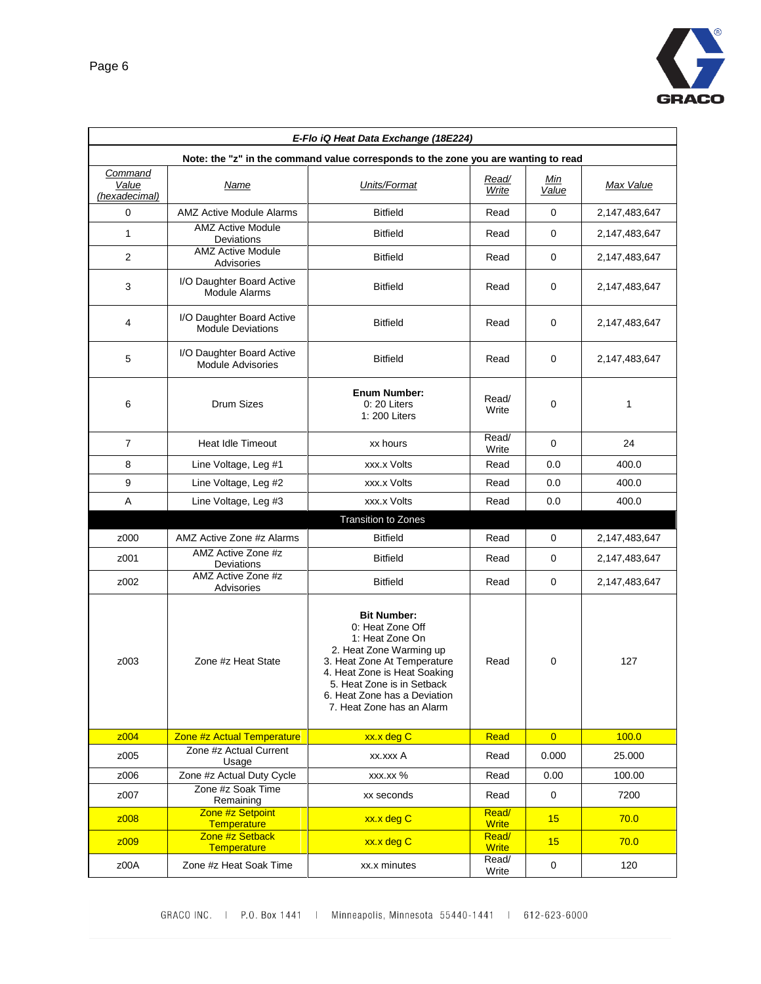

| E-Flo iQ Heat Data Exchange (18E224)                                               |                                                       |                                                                                                                                                                                                                                                |                       |                |               |  |  |
|------------------------------------------------------------------------------------|-------------------------------------------------------|------------------------------------------------------------------------------------------------------------------------------------------------------------------------------------------------------------------------------------------------|-----------------------|----------------|---------------|--|--|
| Note: the "z" in the command value corresponds to the zone you are wanting to read |                                                       |                                                                                                                                                                                                                                                |                       |                |               |  |  |
| Command<br>Value<br>(hexadecimal)                                                  | <b>Name</b>                                           | Units/Format                                                                                                                                                                                                                                   | Read/<br>Write        | Min<br>Value   | Max Value     |  |  |
| 0                                                                                  | AMZ Active Module Alarms                              | <b>Bitfield</b>                                                                                                                                                                                                                                | Read                  | 0              | 2,147,483,647 |  |  |
| $\mathbf{1}$                                                                       | <b>AMZ Active Module</b><br>Deviations                | <b>Bitfield</b>                                                                                                                                                                                                                                | Read                  | 0              | 2,147,483,647 |  |  |
| $\overline{2}$                                                                     | <b>AMZ Active Module</b><br>Advisories                | <b>Bitfield</b>                                                                                                                                                                                                                                | Read                  | 0              | 2,147,483,647 |  |  |
| 3                                                                                  | I/O Daughter Board Active<br><b>Module Alarms</b>     | <b>Bitfield</b>                                                                                                                                                                                                                                | Read                  | 0              | 2,147,483,647 |  |  |
| 4                                                                                  | I/O Daughter Board Active<br><b>Module Deviations</b> | <b>Bitfield</b><br>Read                                                                                                                                                                                                                        |                       | 0              | 2,147,483,647 |  |  |
| 5                                                                                  | I/O Daughter Board Active<br><b>Module Advisories</b> | <b>Bitfield</b>                                                                                                                                                                                                                                | Read                  | 0              | 2,147,483,647 |  |  |
| 6                                                                                  | <b>Drum Sizes</b>                                     | <b>Enum Number:</b><br>0: 20 Liters<br>1: 200 Liters                                                                                                                                                                                           | Read/<br>Write        | 0              | 1             |  |  |
| $\overline{7}$                                                                     | Heat Idle Timeout                                     | xx hours                                                                                                                                                                                                                                       | Read/<br>Write        | 0              | 24            |  |  |
| 8                                                                                  | Line Voltage, Leg #1                                  | xxx.x Volts                                                                                                                                                                                                                                    | Read                  | 0.0            | 400.0         |  |  |
| 9                                                                                  | Line Voltage, Leg #2                                  | xxx.x Volts                                                                                                                                                                                                                                    | Read                  | 0.0            | 400.0         |  |  |
| Α                                                                                  | Line Voltage, Leg #3                                  | xxx.x Volts                                                                                                                                                                                                                                    | Read                  | 0.0            | 400.0         |  |  |
|                                                                                    |                                                       | <b>Transition to Zones</b>                                                                                                                                                                                                                     |                       |                |               |  |  |
| z000                                                                               | AMZ Active Zone #z Alarms                             | <b>Bitfield</b>                                                                                                                                                                                                                                | Read                  | $\mathbf 0$    | 2,147,483,647 |  |  |
| z001                                                                               | AMZ Active Zone #z<br>Deviations                      | <b>Bitfield</b>                                                                                                                                                                                                                                | Read                  | 0              | 2,147,483,647 |  |  |
| z002                                                                               | AMZ Active Zone #z<br>Advisories                      | <b>Bitfield</b>                                                                                                                                                                                                                                | Read                  | 0              | 2,147,483,647 |  |  |
| z003                                                                               | Zone #z Heat State                                    | <b>Bit Number:</b><br>0: Heat Zone Off<br>1: Heat Zone On<br>2. Heat Zone Warming up<br>3. Heat Zone At Temperature<br>4. Heat Zone is Heat Soaking<br>5. Heat Zone is in Setback<br>6. Heat Zone has a Deviation<br>7. Heat Zone has an Alarm | Read                  | 0              | 127           |  |  |
| z004                                                                               | Zone #z Actual Temperature                            | xx.x deg C                                                                                                                                                                                                                                     | Read                  | $\overline{0}$ | 100.0         |  |  |
| z005                                                                               | Zone #z Actual Current<br>Usage                       | xx.xxx A                                                                                                                                                                                                                                       | Read                  | 0.000          | 25.000        |  |  |
| z006                                                                               | Zone #z Actual Duty Cycle                             | xxx.xx %                                                                                                                                                                                                                                       | Read                  | 0.00           | 100.00        |  |  |
| z007                                                                               | Zone #z Soak Time<br>Remaining                        | xx seconds                                                                                                                                                                                                                                     | Read                  | 0              | 7200          |  |  |
| z008                                                                               | Zone #z Setpoint<br><b>Temperature</b>                | xx.x deg C                                                                                                                                                                                                                                     | Read/<br><b>Write</b> | 15             | 70.0          |  |  |
| z009                                                                               | Zone #z Setback<br><b>Temperature</b>                 | xx.x deg C                                                                                                                                                                                                                                     | Read/<br><b>Write</b> | 15             | 70.0          |  |  |
| z00A                                                                               | Zone #z Heat Soak Time                                | xx.x minutes                                                                                                                                                                                                                                   | Read/<br>Write        | $\pmb{0}$      | 120           |  |  |